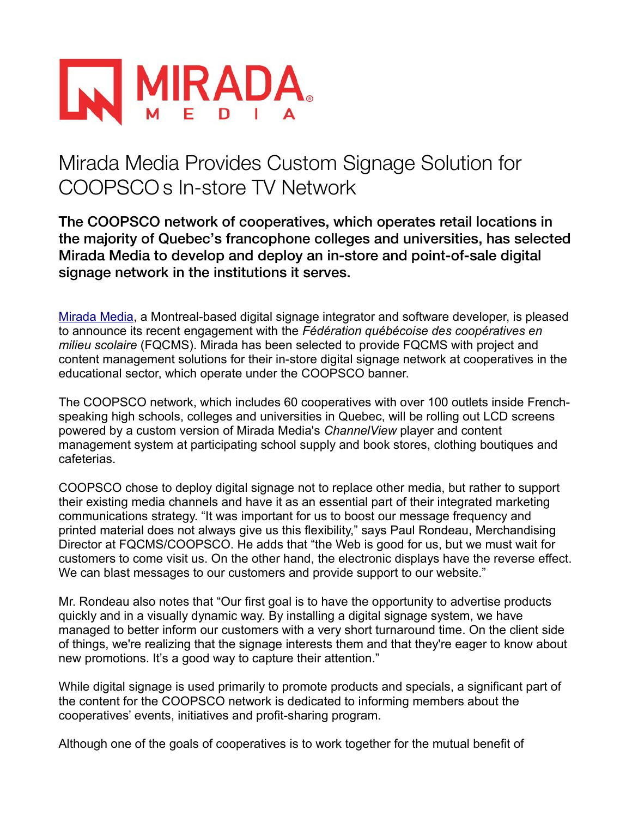

## Mirada Media Provides Custom Signage Solution for COOPSCOs In-store TV Network

The COOPSCO network of cooperatives, which operates retail locations in the majority of Quebec's francophone colleges and universities, has selected Mirada Media to develop and deploy an in-store and point-of-sale digital signage network in the institutions it serves.

[Mirada Media,](http://www.miradamedia.com/) a Montreal-based digital signage integrator and software developer, is pleased to announce its recent engagement with the *Fédération québécoise des coopératives en milieu scolaire* (FQCMS). Mirada has been selected to provide FQCMS with project and content management solutions for their in-store digital signage network at cooperatives in the educational sector, which operate under the COOPSCO banner.

The COOPSCO network, which includes 60 cooperatives with over 100 outlets inside Frenchspeaking high schools, colleges and universities in Quebec, will be rolling out LCD screens powered by a custom version of Mirada Media's *ChannelView* player and content management system at participating school supply and book stores, clothing boutiques and cafeterias.

COOPSCO chose to deploy digital signage not to replace other media, but rather to support their existing media channels and have it as an essential part of their integrated marketing communications strategy. "It was important for us to boost our message frequency and printed material does not always give us this flexibility," says Paul Rondeau, Merchandising Director at FQCMS/COOPSCO. He adds that "the Web is good for us, but we must wait for customers to come visit us. On the other hand, the electronic displays have the reverse effect. We can blast messages to our customers and provide support to our website."

Mr. Rondeau also notes that "Our first goal is to have the opportunity to advertise products quickly and in a visually dynamic way. By installing a digital signage system, we have managed to better inform our customers with a very short turnaround time. On the client side of things, we're realizing that the signage interests them and that they're eager to know about new promotions. It's a good way to capture their attention."

While digital signage is used primarily to promote products and specials, a significant part of the content for the COOPSCO network is dedicated to informing members about the cooperatives' events, initiatives and profit-sharing program.

Although one of the goals of cooperatives is to work together for the mutual benefit of